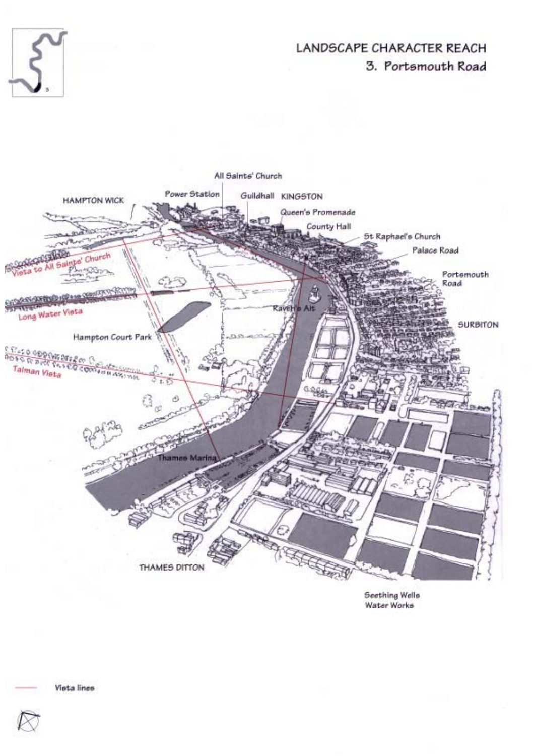

# **LANDSCAPE CHARACTER REACH** 3. Portsmouth Road



Seething Wells Water Works

Vista lines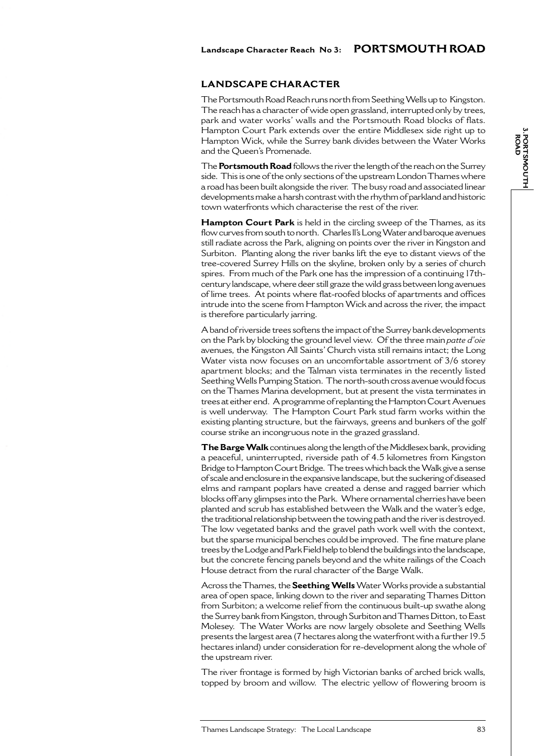#### **LANDSCAPE CHARACTER**

The Portsmouth Road Reach runs north from Seething Wells up to Kingston. The reach has a character of wide open grassland, interrupted only by trees, park and water works' walls and the Portsmouth Road blocks of flats. Hampton Court Park extends over the entire Middlesex side right up to Hampton Wick, while the Surrey bank divides between the Water Works and the Queen's Promenade.

The **Portsmouth Road** follows the river the length of the reach on the Surrey side. This is one of the only sections of the upstream London Thames where a road has been built alongside the river. The busy road and associated linear developments make a harsh contrast with the rhythm of parkland and historic town waterfronts which characterise the rest of the river.

**Hampton Court Park** is held in the circling sweep of the Thames, as its flow curves from south to north. Charles ll's Long Water and baroque avenues still radiate across the Park, aligning on points over the river in Kingston and Surbiton. Planting along the river banks lift the eye to distant views of the tree-covered Surrey Hills on the skyline, broken only by a series of church spires. From much of the Park one has the impression of a continuing 17thcentury landscape, where deer still graze the wild grass between long avenues of lime trees. At points where flat-roofed blocks of apartments and offices intrude into the scene from Hampton Wick and across the river, the impact is therefore particularly jarring.

A band of riverside trees softens the impact of the Surrey bank developments on the Park by blocking the ground level view. Of the three main *patte d'oie* avenues, the Kingston All Saints' Church vista still remains intact; the Long Water vista now focuses on an uncomfortable assortment of 3/6 storey apartment blocks; and the Talman vista terminates in the recently listed Seething Wells Pumping Station. The north-south cross avenue would focus on the Thames Marina development, but at present the vista terminates in trees at either end. A programme of replanting the Hampton Court Avenues is well underway. The Hampton Court Park stud farm works within the existing planting structure, but the fairways, greens and bunkers of the golf course strike an incongruous note in the grazed grassland.

**The Barge Walk** continues along the length of the Middlesex bank, providing a peaceful, uninterrupted, riverside path of 4.5 kilometres from Kingston Bridge to Hampton Court Bridge. The trees which back the Walk give a sense of scale and enclosure in the expansive landscape, but the suckering of diseased elms and rampant poplars have created a dense and ragged barrier which blocks off any glimpses into the Park. Where ornamental cherries have been planted and scrub has established between the Walk and the water's edge, the traditional relationship between the towing path and the river is destroyed. The low vegetated banks and the gravel path work well with the context, but the sparse municipal benches could be improved. The fine mature plane trees by the Lodge and Park Field help to blend the buildings into the landscape, but the concrete fencing panels beyond and the white railings of the Coach House detract from the rural character of the Barge Walk.

Across the Thames, the **Seething Wells** Water Works provide a substantial area of open space, linking down to the river and separating Thames Ditton from Surbiton; a welcome relief from the continuous built-up swathe along the Surrey bank from Kingston, through Surbiton and Thames Ditton, to East Molesey. The Water Works are now largely obsolete and Seething Wells presents the largest area (7 hectares along the waterfront with a further 19.5 hectares inland) under consideration for re-development along the whole of the upstream river.

The river frontage is formed by high Victorian banks of arched brick walls, topped by broom and willow. The electric yellow of flowering broom is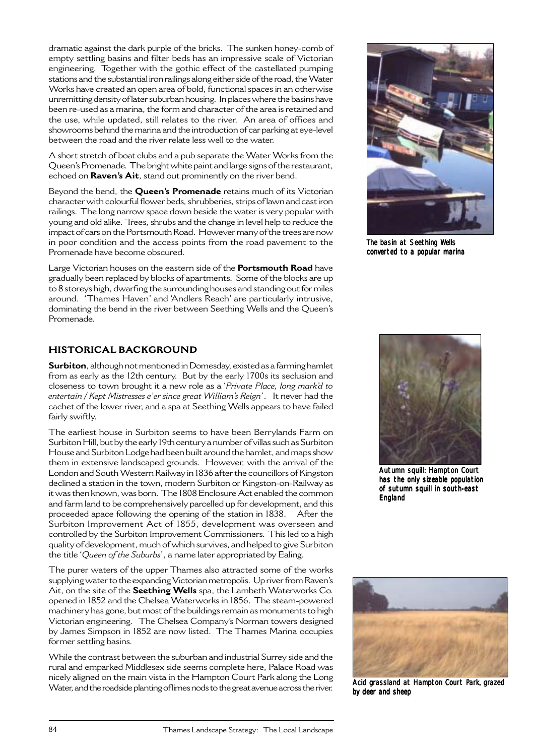dramatic against the dark purple of the bricks. The sunken honey-comb of empty settling basins and filter beds has an impressive scale of Victorian engineering. Together with the gothic effect of the castellated pumping stations and the substantial iron railings along either side of the road, the Water Works have created an open area of bold, functional spaces in an otherwise unremitting density of later suburban housing. In places where the basins have been re-used as a marina, the form and character of the area is retained and the use, while updated, still relates to the river. An area of offices and showrooms behind the marina and the introduction of car parking at eye-level between the road and the river relate less well to the water.

A short stretch of boat clubs and a pub separate the Water Works from the Queen's Promenade. The bright white paint and large signs of the restaurant, echoed on **Raven's Ait**, stand out prominently on the river bend.

Beyond the bend, the **Queen's Promenade** retains much of its Victorian character with colourful flower beds, shrubberies, strips of lawn and cast iron railings. The long narrow space down beside the water is very popular with young and old alike. Trees, shrubs and the change in level help to reduce the impact of cars on the Portsmouth Road. However many of the trees are now in poor condition and the access points from the road pavement to the Promenade have become obscured.

Large Victorian houses on the eastern side of the **Portsmouth Road** have gradually been replaced by blocks of apartments. Some of the blocks are up to 8 storeys high, dwarfing the surrounding houses and standing out for miles around. 'Thames Haven' and 'Andlers Reach' are particularly intrusive, dominating the bend in the river between Seething Wells and the Queen's Promenade.

### **HISTORICAL BACKGROUND**

**Surbiton**, although not mentioned in Domesday, existed as a farming hamlet from as early as the 12th century. But by the early 1700s its seclusion and closeness to town brought it a new role as a '*Private Place, long mark'd to entertain / Kept Mistresses e'er since great William's Reign*'. It never had the cachet of the lower river, and a spa at Seething Wells appears to have failed fairly swiftly.

The earliest house in Surbiton seems to have been Berrylands Farm on Surbiton Hill, but by the early 19th century a number of villas such as Surbiton House and Surbiton Lodge had been built around the hamlet, and maps show them in extensive landscaped grounds. However, with the arrival of the London and South Western Railway in 1836 after the councillors of Kingston declined a station in the town, modern Surbiton or Kingston-on-Railway as it was then known, was born. The 1808 Enclosure Act enabled the common and farm land to be comprehensively parcelled up for development, and this proceeded apace following the opening of the station in 1838. After the Surbiton Improvement Act of 1855, development was overseen and controlled by the Surbiton Improvement Commissioners. This led to a high quality of development, much of which survives, and helped to give Surbiton the title '*Queen of the Suburbs*', a name later appropriated by Ealing.

The purer waters of the upper Thames also attracted some of the works supplying water to the expanding Victorian metropolis. Up river from Raven's Ait, on the site of the **Seething Wells** spa, the Lambeth Waterworks Co. opened in 1852 and the Chelsea Waterworks in 1856. The steam-powered machinery has gone, but most of the buildings remain as monuments to high Victorian engineering. The Chelsea Company's Norman towers designed by James Simpson in 1852 are now listed. The Thames Marina occupies former settling basins.

While the contrast between the suburban and industrial Surrey side and the rural and emparked Middlesex side seems complete here, Palace Road was nicely aligned on the main vista in the Hampton Court Park along the Long Water, and the roadside planting of limes nods to the great avenue across the river.



The basin at Seething Wells converted to a popular marina



Autumn squill: Hampton Court has the only sizeable population of sutumn squill in south-east England



Acid grassland at Hampton Court Park, grazed by deer and sheep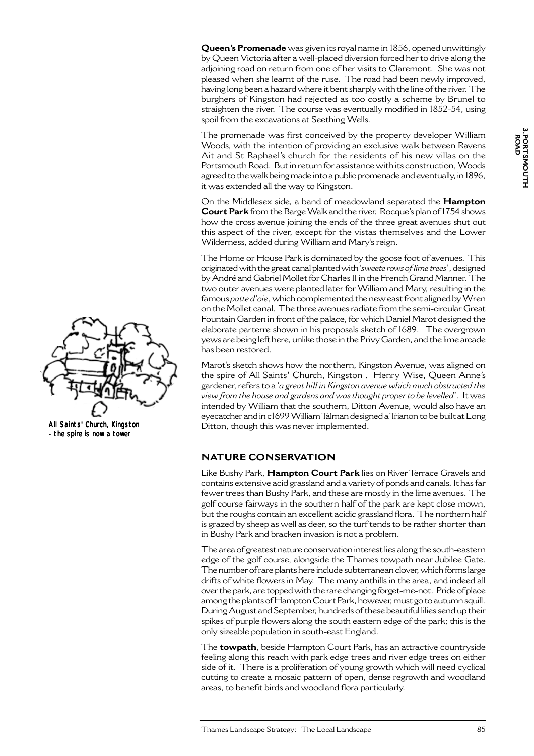**3.PORTSMOUTH ROAD**<br>ROAD<br>ROAD

**Queen's Promenade** was given its royal name in 1856, opened unwittingly by Queen Victoria after a well-placed diversion forced her to drive along the adjoining road on return from one of her visits to Claremont. She was not pleased when she learnt of the ruse. The road had been newly improved, having long been a hazard where it bent sharply with the line of the river. The burghers of Kingston had rejected as too costly a scheme by Brunel to straighten the river. The course was eventually modified in 1852-54, using spoil from the excavations at Seething Wells.

The promenade was first conceived by the property developer William Woods, with the intention of providing an exclusive walk between Ravens Ait and St Raphael's church for the residents of his new villas on the Portsmouth Road. But in return for assistance with its construction, Woods agreed to the walk being made into a public promenade and eventually, in 1896, it was extended all the way to Kingston.

On the Middlesex side, a band of meadowland separated the **Hampton Court Park** from the Barge Walk and the river. Rocque's plan of 1754 shows how the cross avenue joining the ends of the three great avenues shut out this aspect of the river, except for the vistas themselves and the Lower Wilderness, added during William and Mary's reign.

The Home or House Park is dominated by the goose foot of avenues. This originated with the great canal planted with '*sweete rows of lime trees*', designed by André and Gabriel Mollet for Charles II in the French Grand Manner. The two outer avenues were planted later for William and Mary, resulting in the famous *patte d'oie*, which complemented the new east front aligned by Wren on the Mollet canal. The three avenues radiate from the semi-circular Great Fountain Garden in front of the palace, for which Daniel Marot designed the elaborate parterre shown in his proposals sketch of 1689. The overgrown yews are being left here, unlike those in the Privy Garden, and the lime arcade has been restored.

Marot's sketch shows how the northern, Kingston Avenue, was aligned on the spire of All Saints' Church, Kingston . Henry Wise, Queen Anne's gardener, refers to a '*a great hill in Kingston avenue which much obstructed the view from the house and gardens and was thought proper to be levelled*'. It was intended by William that the southern, Ditton Avenue, would also have an eyecatcher and in c1699 William Talman designed a Trianon to be built at Long Ditton, though this was never implemented.

## **NATURE CONSERVATION**

Like Bushy Park, **Hampton Court Park** lies on River Terrace Gravels and contains extensive acid grassland and a variety of ponds and canals. It has far fewer trees than Bushy Park, and these are mostly in the lime avenues. The golf course fairways in the southern half of the park are kept close mown, but the roughs contain an excellent acidic grassland flora. The northern half is grazed by sheep as well as deer, so the turf tends to be rather shorter than in Bushy Park and bracken invasion is not a problem.

The area of greatest nature conservation interest lies along the south-eastern edge of the golf course, alongside the Thames towpath near Jubilee Gate. The number of rare plants here include subterranean clover, which forms large drifts of white flowers in May. The many anthills in the area, and indeed all over the park, are topped with the rare changing forget-me-not. Pride of place among the plants of Hampton Court Park, however, must go to autumn squill. During August and September, hundreds of these beautiful lilies send up their spikes of purple flowers along the south eastern edge of the park; this is the only sizeable population in south-east England.

The **towpath**, beside Hampton Court Park, has an attractive countryside feeling along this reach with park edge trees and river edge trees on either side of it. There is a proliferation of young growth which will need cyclical cutting to create a mosaic pattern of open, dense regrowth and woodland areas, to benefit birds and woodland flora particularly.



All Saints' Church, Kingston - the spire is now a tower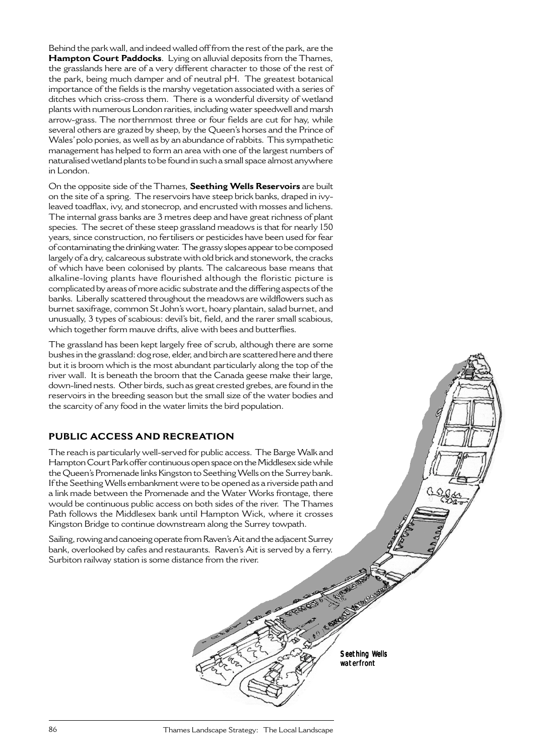Behind the park wall, and indeed walled off from the rest of the park, are the **Hampton Court Paddocks**. Lying on alluvial deposits from the Thames, the grasslands here are of a very different character to those of the rest of the park, being much damper and of neutral pH. The greatest botanical importance of the fields is the marshy vegetation associated with a series of ditches which criss-cross them. There is a wonderful diversity of wetland plants with numerous London rarities, including water speedwell and marsh arrow-grass. The northernmost three or four fields are cut for hay, while several others are grazed by sheep, by the Queen's horses and the Prince of Wales' polo ponies, as well as by an abundance of rabbits. This sympathetic management has helped to form an area with one of the largest numbers of naturalised wetland plants to be found in such a small space almost anywhere in London.

On the opposite side of the Thames, **Seething Wells Reservoirs** are built on the site of a spring. The reservoirs have steep brick banks, draped in ivyleaved toadflax, ivy, and stonecrop, and encrusted with mosses and lichens. The internal grass banks are 3 metres deep and have great richness of plant species. The secret of these steep grassland meadows is that for nearly 150 years, since construction, no fertilisers or pesticides have been used for fear of contaminating the drinking water. The grassy slopes appear to be composed largely of a dry, calcareous substrate with old brick and stonework, the cracks of which have been colonised by plants. The calcareous base means that alkaline-loving plants have flourished although the floristic picture is complicated by areas of more acidic substrate and the differing aspects of the banks. Liberally scattered throughout the meadows are wildflowers such as burnet saxifrage, common St John's wort, hoary plantain, salad burnet, and unusually, 3 types of scabious: devil's bit, field, and the rarer small scabious, which together form mauve drifts, alive with bees and butterflies.

The grassland has been kept largely free of scrub, although there are some bushes in the grassland: dog rose, elder, and birch are scattered here and there but it is broom which is the most abundant particularly along the top of the river wall. It is beneath the broom that the Canada geese make their large, down-lined nests. Other birds, such as great crested grebes, are found in the reservoirs in the breeding season but the small size of the water bodies and the scarcity of any food in the water limits the bird population.

### **PUBLIC ACCESS AND RECREATION**

The reach is particularly well-served for public access. The Barge Walk and Hampton Court Park offer continuous open space on the Middlesex side while the Queen's Promenade links Kingston to Seething Wells on the Surrey bank. If the Seething Wells embankment were to be opened as a riverside path and a link made between the Promenade and the Water Works frontage, there would be continuous public access on both sides of the river. The Thames Path follows the Middlesex bank until Hampton Wick, where it crosses Kingston Bridge to continue downstream along the Surrey towpath.

Sailing, rowing and canoeing operate from Raven's Ait and the adjacent Surrey bank, overlooked by cafes and restaurants. Raven's Ait is served by a ferry. Surbiton railway station is some distance from the river.

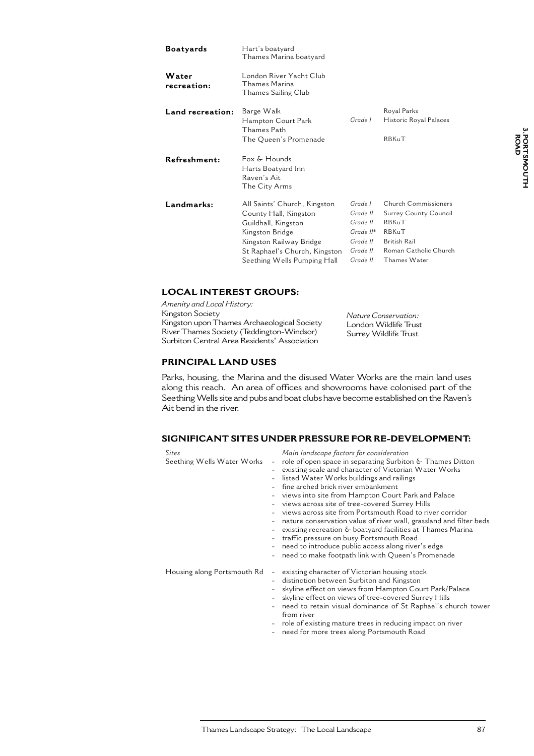| Boatyards            | Hart's boatyard<br>Thames Marina boatyard                                                                                                                                                  |                                                                                       |                                                                                                                                                   |
|----------------------|--------------------------------------------------------------------------------------------------------------------------------------------------------------------------------------------|---------------------------------------------------------------------------------------|---------------------------------------------------------------------------------------------------------------------------------------------------|
| Water<br>recreation: | London River Yacht Club<br>Thames Marina<br>Thames Sailing Club                                                                                                                            |                                                                                       |                                                                                                                                                   |
| Land recreation:     | Barge Walk<br>Hampton Court Park<br>Thames Path<br>The Queen's Promenade                                                                                                                   | Grade 1                                                                               | Royal Parks<br>Historic Royal Palaces<br><b>RBKuT</b>                                                                                             |
| Refreshment:         | Fox & Hounds<br>Harts Boatyard Inn<br>Raven's Ait<br>The City Arms                                                                                                                         |                                                                                       |                                                                                                                                                   |
| Landmarks:           | All Saints' Church, Kingston<br>County Hall, Kingston<br>Guildhall, Kingston<br>Kingston Bridge<br>Kingston Railway Bridge<br>St Raphael's Church, Kingston<br>Seething Wells Pumping Hall | Grade L<br>Grade II<br>Grade II<br>$Grade$ $II^*$<br>Grade II<br>Grade II<br>Grade II | Church Commissioners<br>Surrey County Council<br><b>RBK<sub>u</sub>T</b><br>RBKuT<br><b>British Rail</b><br>Roman Catholic Church<br>Thames Water |

#### **LOCAL INTEREST GROUPS:**

*Amenity and Local History:* Kingston Society Kingston upon Thames Archaeological Society River Thames Society (Teddington-Windsor) Surbiton Central Area Residents' Association *Nature Conservation:* London Wildlife Trust Surrey Wildlife Trust

#### **PRINCIPAL LAND USES**

Parks, housing, the Marina and the disused Water Works are the main land uses along this reach. An area of offices and showrooms have colonised part of the Seething Wells site and pubs and boat clubs have become established on the Raven's Ait bend in the river.

#### **SIGNIFICANT SITES UNDER PRESSURE FOR RE-DEVELOPMENT:**

| Sites<br>Seething Wells Water Works | Main landscape factors for consideration<br>role of open space in separating Surbiton & Thames Ditton<br>$\sim$<br>existing scale and character of Victorian Water Works<br>- listed Water Works buildings and railings<br>- fine arched brick river embankment<br>- views into site from Hampton Court Park and Palace<br>- views across site of tree-covered Surrey Hills<br>- views across site from Portsmouth Road to river corridor<br>- nature conservation value of river wall, grassland and filter beds<br>existing recreation & boatyard facilities at Thames Marina<br>traffic pressure on busy Portsmouth Road<br>need to introduce public access along river's edge<br>need to make footpath link with Queen's Promenade |
|-------------------------------------|----------------------------------------------------------------------------------------------------------------------------------------------------------------------------------------------------------------------------------------------------------------------------------------------------------------------------------------------------------------------------------------------------------------------------------------------------------------------------------------------------------------------------------------------------------------------------------------------------------------------------------------------------------------------------------------------------------------------------------------|
| Housing along Portsmouth Rd         | existing character of Victorian housing stock<br>$\sim$<br>- distinction between Surbiton and Kingston<br>skyline effect on views from Hampton Court Park/Palace<br>skyline effect on views of tree-covered Surrey Hills<br>- need to retain visual dominance of St Raphael's church tower<br>from river<br>- role of existing mature trees in reducing impact on river                                                                                                                                                                                                                                                                                                                                                                |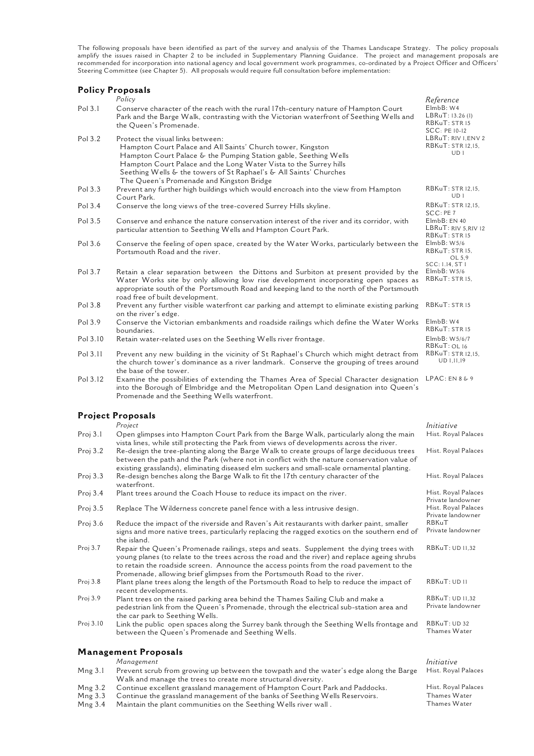The following proposals have been identified as part of the survey and analysis of the Thames Landscape Strategy. The policy proposals amplify the issues raised in Chapter 2 to be included in Supplementary Planning Guidance. The project and management proposals are recommended for incorporation into national agency and local government work programmes, co-ordinated by a Project Officer and Officers' Steering Committee (see Chapter 5). All proposals would require full consultation before implementation:

|            | <b>Policy Proposals</b><br>Policy                                                                                                                                                                                                                                                                                                                            | Reference                                                       |
|------------|--------------------------------------------------------------------------------------------------------------------------------------------------------------------------------------------------------------------------------------------------------------------------------------------------------------------------------------------------------------|-----------------------------------------------------------------|
| Pol 3.1    | Conserve character of the reach with the rural 17th-century nature of Hampton Court<br>Park and the Barge Walk, contrasting with the Victorian waterfront of Seething Wells and<br>the Queen's Promenade.                                                                                                                                                    | ElmbB: W4<br>LBRuT: 13.26 (1)<br>RBKuT: STR 15<br>SCC: PE 10-12 |
| Pol 3.2    | Protect the visual links between:<br>Hampton Court Palace and All Saints' Church tower, Kingston<br>Hampton Court Palace & the Pumping Station gable, Seething Wells<br>Hampton Court Palace and the Long Water Vista to the Surrey hills<br>Seething Wells & the towers of St Raphael's & All Saints' Churches<br>The Queen's Promenade and Kingston Bridge | LBRuT: RIV I, ENV 2<br>RBKuT: STR 12,15,<br>UD 1                |
| Pol 3.3    | Prevent any further high buildings which would encroach into the view from Hampton<br>Court Park.                                                                                                                                                                                                                                                            | RBKuT: STR 12,15,<br>UD <sub>1</sub>                            |
| Pol 3.4    | Conserve the long views of the tree-covered Surrey Hills skyline.                                                                                                                                                                                                                                                                                            | RBKuT: STR 12,15,<br>SCC:PE 7                                   |
| Pol 3.5    | Conserve and enhance the nature conservation interest of the river and its corridor, with<br>particular attention to Seething Wells and Hampton Court Park.                                                                                                                                                                                                  | ElmbB: EN 40<br>LBRuT: RIV 5, RIV 12                            |
| Pol 3.6    | Conserve the feeling of open space, created by the Water Works, particularly between the<br>Portsmouth Road and the river.                                                                                                                                                                                                                                   | RBKuT: STR 15<br>ElmbB: W5/6<br>RBKuT: STR 15,<br>OL 5,9        |
| Pol 3.7    | Retain a clear separation between the Dittons and Surbiton at present provided by the<br>Water Works site by only allowing low rise development incorporating open spaces as<br>appropriate south of the Portsmouth Road and keeping land to the north of the Portsmouth<br>road free of built development.                                                  | SCC: 1.14, ST 1<br>ElmbB: W5/6<br>RBKuT: STR 15,                |
| Pol 3.8    | Prevent any further visible waterfront car parking and attempt to eliminate existing parking<br>on the river's edge.                                                                                                                                                                                                                                         | RBKuT: STR 15                                                   |
| Pol 3.9    | Conserve the Victorian embankments and roadside railings which define the Water Works<br>boundaries.                                                                                                                                                                                                                                                         | ElmbB: W4<br>RBKuT: STR 15                                      |
| Pol 3.10   | Retain water-related uses on the Seething Wells river frontage.                                                                                                                                                                                                                                                                                              | ElmbB: W5/6/7<br>RBKuT: OL 16                                   |
| Pol 3.11   | Prevent any new building in the vicinity of St Raphael's Church which might detract from<br>the church tower's dominance as a river landmark. Conserve the grouping of trees around<br>the base of the tower.                                                                                                                                                | RBKuT: STR 12,15,<br>UD 1,11,19                                 |
| Pol 3.12   | Examine the possibilities of extending the Thames Area of Special Character designation<br>into the Borough of Elmbridge and the Metropolitan Open Land designation into Queen's<br>Promenade and the Seething Wells waterfront.                                                                                                                             | LPAC: EN 8 > 9                                                  |
|            | <b>Project Proposals</b>                                                                                                                                                                                                                                                                                                                                     |                                                                 |
| Proj 3.1   | Project<br>Open glimpses into Hampton Court Park from the Barge Walk, particularly along the main<br>vista lines, while still protecting the Park from views of developments across the river.                                                                                                                                                               | Initiative<br>Hist. Royal Palaces                               |
| Proj 3.2   | Re-design the tree-planting along the Barge Walk to create groups of large deciduous trees<br>between the path and the Park (where not in conflict with the nature conservation value of<br>existing grasslands), eliminating diseased elm suckers and small-scale ornamental planting.                                                                      | Hist. Royal Palaces                                             |
| Proj 3.3   | Re-design benches along the Barge Walk to fit the 17th century character of the<br>waterfront.                                                                                                                                                                                                                                                               | Hist. Royal Palaces                                             |
| Proj 3.4   | Plant trees around the Coach House to reduce its impact on the river.                                                                                                                                                                                                                                                                                        | Hist. Royal Palaces<br>Private landowner                        |
| Proj $3.5$ | Replace The Wilderness concrete panel fence with a less intrusive design.                                                                                                                                                                                                                                                                                    | Hist. Royal Palaces<br>Private landowner                        |
| Proj 3.6   | Reduce the impact of the riverside and Raven's Ait restaurants with darker paint, smaller<br>signs and more native trees, particularly replacing the ragged exotics on the southern end of<br>the island.                                                                                                                                                    | RBKuT<br>Private landowner                                      |
| Proj 3.7   | Repair the Queen's Promenade railings, steps and seats. Supplement the dying trees with<br>young planes (to relate to the trees across the road and the river) and replace ageing shrubs<br>to retain the roadside screen. Announce the access points from the road pavement to the                                                                          | RBKuT: UD 11,32                                                 |
| Proj 3.8   | Promenade, allowing brief glimpses from the Portsmouth Road to the river.<br>Plant plane trees along the length of the Portsmouth Road to help to reduce the impact of                                                                                                                                                                                       | RBKuT: UD 11                                                    |
| Proj 3.9   | recent developments.<br>Plant trees on the raised parking area behind the Thames Sailing Club and make a<br>pedestrian link from the Queen's Promenade, through the electrical sub-station area and                                                                                                                                                          | RBKuT: UD 11,32<br>Private landowner                            |
| Proj 3.10  | the car park to Seething Wells.<br>Link the public open spaces along the Surrey bank through the Seething Wells frontage and<br>between the Queen's Promenade and Seething Wells.                                                                                                                                                                            | RBKuT: UD 32<br>Thames Water                                    |
|            | <b>Management Proposals</b>                                                                                                                                                                                                                                                                                                                                  |                                                                 |
|            | Management                                                                                                                                                                                                                                                                                                                                                   | <i>Initiative</i>                                               |
| $Mng$ 3.1  | Prevent scrub from growing up between the towpath and the water's edge along the Barge<br>Walk and manage the trees to create more structural diversity.                                                                                                                                                                                                     | Hist. Royal Palaces                                             |

# Mng 3.2 Continue excellent grassland management of Hampton Court Park and Paddocks. Hist. Royal Palaces<br>Mng 3.3 Continue the grassland management of the banks of Seething Wells Reservoirs. Thames Water

- Mng 3.3 Continue the grassland management of the banks of Seething Wells Reservoirs. Thames Water Mng 3.4 Maintain the plant communities on the Seething Wells river wall. Thames Water Maintain the plant communities on the Seething Wells river wall .
	-